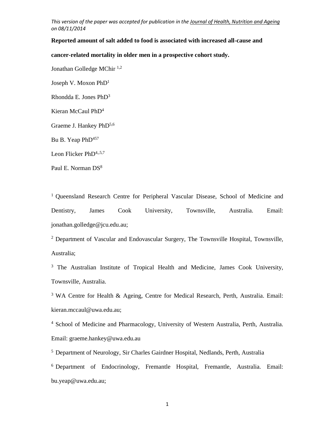### **Reported amount of salt added to food is associated with increased all-cause and**

#### **cancer-related mortality in older men in a prospective cohort study.**

Jonathan Golledge MChir 1,2

Joseph V. Moxon PhD<sup>1</sup>

Rhondda E. Jones PhD<sup>3</sup>

Kieran McCaul PhD<sup>4</sup>

Graeme J. Hankey PhD<sup>5,6</sup>

Bu B. Yeap PhD<sup>457</sup>

Leon Flicker PhD<sup>4,,5,7</sup>

Paul E. Norman DS<sup>8</sup>

<sup>1</sup> Queensland Research Centre for Peripheral Vascular Disease, School of Medicine and Dentistry, James Cook University, Townsville, Australia. Email: jonathan.golledge@jcu.edu.au;

<sup>2</sup> Department of Vascular and Endovascular Surgery, The Townsville Hospital, Townsville, Australia;

<sup>3</sup> The Australian Institute of Tropical Health and Medicine, James Cook University, Townsville, Australia.

<sup>3</sup> WA Centre for Health & Ageing, Centre for Medical Research, Perth, Australia. Email: kieran.mccaul@uwa.edu.au;

4 School of Medicine and Pharmacology, University of Western Australia, Perth, Australia. Email: graeme.hankey@uwa.edu.au

5 Department of Neurology, Sir Charles Gairdner Hospital, Nedlands, Perth, Australia

6 Department of Endocrinology, Fremantle Hospital, Fremantle, Australia. Email: bu.yeap@uwa.edu.au;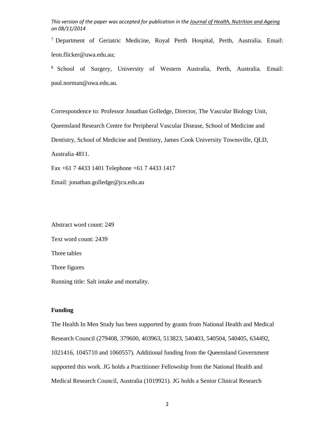7 Department of Geriatric Medicine, Royal Perth Hospital, Perth, Australia. Email: leon.flicker@uwa.edu.au;

8 School of Surgery, University of Western Australia, Perth, Australia. Email: paul.norman@uwa.edu.au.

Correspondence to: Professor Jonathan Golledge, Director, The Vascular Biology Unit,

Queensland Research Centre for Peripheral Vascular Disease, School of Medicine and

Dentistry, School of Medicine and Dentistry, James Cook University Townsville, QLD,

Australia 4811.

Fax +61 7 4433 1401 Telephone +61 7 4433 1417

Email: jonathan.golledge@jcu.edu.au

Abstract word count: 249 Text word count: 2439 Three tables Three figures Running title: Salt intake and mortality.

## **Funding**

The Health In Men Study has been supported by grants from National Health and Medical Research Council (279408, 379600, 403963, 513823, 540403, 540504, 540405, 634492, 1021416, 1045710 and 1060557). Additional funding from the Queensland Government supported this work. JG holds a Practitioner Fellowship from the National Health and Medical Research Council, Australia (1019921). JG holds a Senior Clinical Research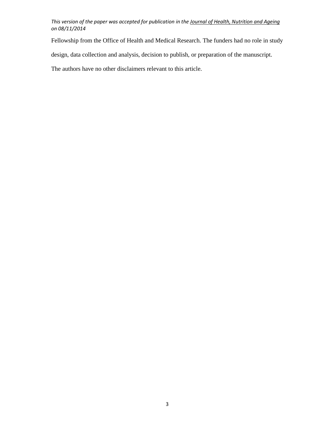Fellowship from the Office of Health and Medical Research. The funders had no role in study

design, data collection and analysis, decision to publish, or preparation of the manuscript.

The authors have no other disclaimers relevant to this article.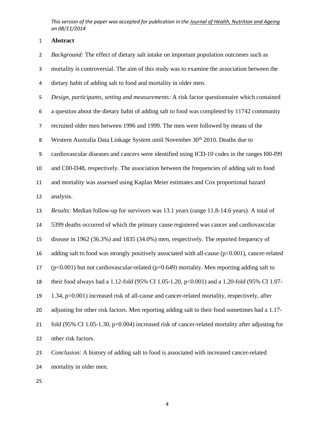**Abstract** 

*Background:* The effect of dietary salt intake on important population outcomes such as

mortality is controversial. The aim of this study was to examine the association between the

dietary habit of adding salt to food and mortality in older men.

*Design, participants, setting and measurements:* A risk factor questionnaire which contained

a question about the dietary habit of adding salt to food was completed by 11742 community

recruited older men between 1996 and 1999. The men were followed by means of the

8 Western Australia Data Linkage System until November 30<sup>th</sup> 2010. Deaths due to

cardiovascular diseases and cancers were identified using ICD-10 codes in the ranges I00-I99

and C00-D48, respectively. The association between the frequencies of adding salt to food

and mortality was assessed using Kaplan Meier estimates and Cox proportional hazard

analysis.

*Results:* Median follow-up for survivors was 13.1 years (range 11.8-14.6 years). A total of

5399 deaths occurred of which the primary cause registered was cancer and cardiovascular

disease in 1962 (36.3%) and 1835 (34.0%) men, respectively. The reported frequency of

16 adding salt to food was strongly positively associated with all-cause  $(p<0.001)$ , cancer-related

17 (p<0.001) but not cardiovascular-related (p=0.649) mortality. Men reporting adding salt to

their food always had a 1.12-fold (95% CI 1.05-1.20, p<0.001) and a 1.20-fold (95% CI 1.07-

1.34, p=0.001) increased risk of all-cause and cancer-related mortality, respectively, after

adjusting for other risk factors. Men reporting adding salt to their food sometimes had a 1.17-

21 fold (95% CI 1.05-1.30, p=0.004) increased risk of cancer-related mortality after adjusting for

other risk factors.

*Conclusion:* A history of adding salt to food is associated with increased cancer-related mortality in older men.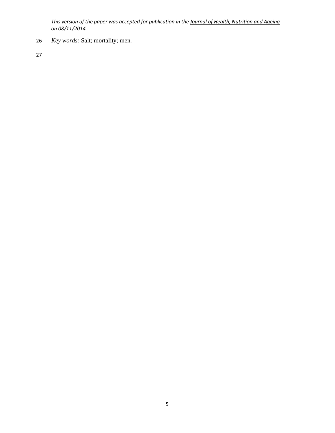26 *Key words:* Salt; mortality; men.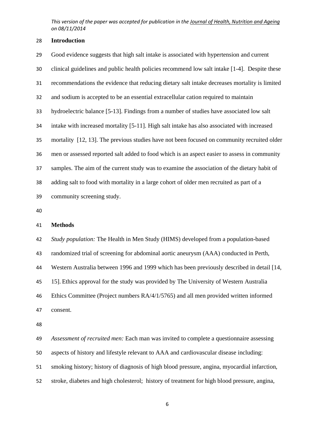### **Introduction**

| 29 | Good evidence suggests that high salt intake is associated with hypertension and current      |
|----|-----------------------------------------------------------------------------------------------|
| 30 | clinical guidelines and public health policies recommend low salt intake [1-4]. Despite these |
| 31 | recommendations the evidence that reducing dietary salt intake decreases mortality is limited |
| 32 | and sodium is accepted to be an essential extracellular cation required to maintain           |
| 33 | hydroelectric balance [5-13]. Findings from a number of studies have associated low salt      |
| 34 | intake with increased mortality [5-11]. High salt intake has also associated with increased   |
| 35 | mortality [12, 13]. The previous studies have not been focused on community recruited older   |
| 36 | men or assessed reported salt added to food which is an aspect easier to assess in community  |
| 37 | samples. The aim of the current study was to examine the association of the dietary habit of  |
| 38 | adding salt to food with mortality in a large cohort of older men recruited as part of a      |
| 39 | community screening study.                                                                    |
| 40 |                                                                                               |

### **Methods**

*Study population:* The Health in Men Study (HIMS) developed from a population-based

randomized trial of screening for abdominal aortic aneurysm (AAA) conducted in Perth,

Western Australia between 1996 and 1999 which has been previously described in detail [14,

15]. Ethics approval for the study was provided by The University of Western Australia

Ethics Committee (Project numbers RA/4/1/5765) and all men provided written informed

consent.

*Assessment of recruited men:* Each man was invited to complete a questionnaire assessing

aspects of history and lifestyle relevant to AAA and cardiovascular disease including:

smoking history; history of diagnosis of high blood pressure, angina, myocardial infarction,

stroke, diabetes and high cholesterol; history of treatment for high blood pressure, angina,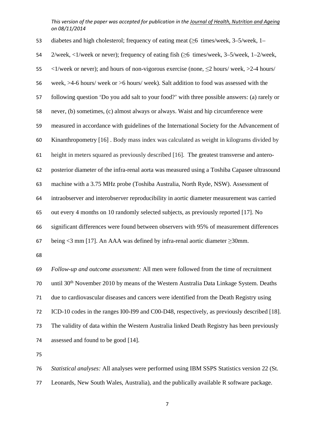| 53 | diabetes and high cholesterol; frequency of eating meat $(\geq 6$ times/week, 3–5/week, 1–                      |
|----|-----------------------------------------------------------------------------------------------------------------|
| 54 | 2/week, $\langle 1/week \rangle$ or never); frequency of eating fish ( $\geq 6$ times/week, 3–5/week, 1–2/week, |
| 55 | <1/week or never); and hours of non-vigorous exercise (none, $\leq$ 2 hours/week, >2-4 hours/                   |
| 56 | week, >4-6 hours/ week or >6 hours/ week). Salt addition to food was assessed with the                          |
| 57 | following question 'Do you add salt to your food?' with three possible answers: (a) rarely or                   |
| 58 | never, (b) sometimes, (c) almost always or always. Waist and hip circumference were                             |
| 59 | measured in accordance with guidelines of the International Society for the Advancement of                      |
| 60 | Kinanthropometry [16]. Body mass index was calculated as weight in kilograms divided by                         |
| 61 | height in meters squared as previously described [16]. The greatest transverse and antero-                      |
| 62 | posterior diameter of the infra-renal aorta was measured using a Toshiba Capasee ultrasound                     |
| 63 | machine with a 3.75 MHz probe (Toshiba Australia, North Ryde, NSW). Assessment of                               |
| 64 | intraobserver and interobserver reproducibility in aortic diameter measurement was carried                      |
| 65 | out every 4 months on 10 randomly selected subjects, as previously reported [17]. No                            |
| 66 | significant differences were found between observers with 95% of measurement differences                        |
| 67 | being $\leq$ 3 mm [17]. An AAA was defined by infra-renal aortic diameter $\geq$ 30mm.                          |
| 68 |                                                                                                                 |
| 69 | Follow-up and outcome assessment: All men were followed from the time of recruitment                            |
| 70 | until 30 <sup>th</sup> November 2010 by means of the Western Australia Data Linkage System. Deaths              |
| 71 | due to cardiovascular diseases and cancers were identified from the Death Registry using                        |
| 72 | ICD-10 codes in the ranges I00-I99 and C00-D48, respectively, as previously described [18].                     |
| 73 | The validity of data within the Western Australia linked Death Registry has been previously                     |
| 74 | assessed and found to be good [14].                                                                             |
| 75 |                                                                                                                 |
| 76 | Statistical analyses: All analyses were performed using IBM SSPS Statistics version 22 (St.                     |

Leonards, New South Wales, Australia), and the publically available R software package.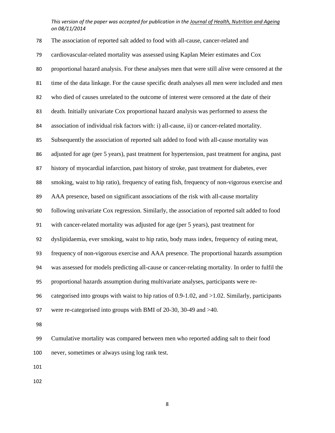| 78  | The association of reported salt added to food with all-cause, cancer-related and                      |
|-----|--------------------------------------------------------------------------------------------------------|
| 79  | cardiovascular-related mortality was assessed using Kaplan Meier estimates and Cox                     |
| 80  | proportional hazard analysis. For these analyses men that were still alive were censored at the        |
| 81  | time of the data linkage. For the cause specific death analyses all men were included and men          |
| 82  | who died of causes unrelated to the outcome of interest were censored at the date of their             |
| 83  | death. Initially univariate Cox proportional hazard analysis was performed to assess the               |
| 84  | association of individual risk factors with: i) all-cause, ii) or cancer-related mortality.            |
| 85  | Subsequently the association of reported salt added to food with all-cause mortality was               |
| 86  | adjusted for age (per 5 years), past treatment for hypertension, past treatment for angina, past       |
| 87  | history of myocardial infarction, past history of stroke, past treatment for diabetes, ever            |
| 88  | smoking, waist to hip ratio), frequency of eating fish, frequency of non-vigorous exercise and         |
| 89  | AAA presence, based on significant associations of the risk with all-cause mortality                   |
| 90  | following univariate Cox regression. Similarly, the association of reported salt added to food         |
| 91  | with cancer-related mortality was adjusted for age (per 5 years), past treatment for                   |
| 92  | dyslipidaemia, ever smoking, waist to hip ratio, body mass index, frequency of eating meat,            |
| 93  | frequency of non-vigorous exercise and AAA presence. The proportional hazards assumption               |
| 94  | was assessed for models predicting all-cause or cancer-relating mortality. In order to fulfil the      |
| 95  | proportional hazards assumption during multivariate analyses, participants were re-                    |
| 96  | categorised into groups with waist to hip ratios of $0.9-1.02$ , and $>1.02$ . Similarly, participants |
| 97  | were re-categorised into groups with BMI of 20-30, 30-49 and >40.                                      |
| 98  |                                                                                                        |
| 99  | Cumulative mortality was compared between men who reported adding salt to their food                   |
| 100 | never, sometimes or always using log rank test.                                                        |
| 101 |                                                                                                        |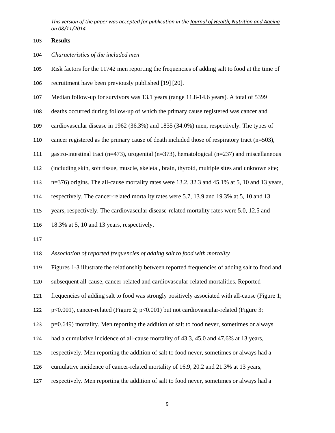#### **Results**

### *Characteristics of the included men*

- Risk factors for the 11742 men reporting the frequencies of adding salt to food at the time of
- recruitment have been previously published [19] [20].
- Median follow-up for survivors was 13.1 years (range 11.8-14.6 years). A total of 5399
- deaths occurred during follow-up of which the primary cause registered was cancer and
- cardiovascular disease in 1962 (36.3%) and 1835 (34.0%) men, respectively. The types of
- cancer registered as the primary cause of death included those of respiratory tract (n=503),
- gastro-intestinal tract (n=473), urogenital (n=373), hematological (n=237) and miscellaneous
- (including skin, soft tissue, muscle, skeletal, brain, thyroid, multiple sites and unknown site;
- n=376) origins. The all-cause mortality rates were 13.2, 32.3 and 45.1% at 5, 10 and 13 years,
- respectively. The cancer-related mortality rates were 5.7, 13.9 and 19.3% at 5, 10 and 13
- years, respectively. The cardiovascular disease-related mortality rates were 5.0, 12.5 and
- 18.3% at 5, 10 and 13 years, respectively.
- 
- *Association of reported frequencies of adding salt to food with mortality*

Figures 1-3 illustrate the relationship between reported frequencies of adding salt to food and

subsequent all-cause, cancer-related and cardiovascular-related mortalities. Reported

- frequencies of adding salt to food was strongly positively associated with all-cause (Figure 1;
- p<0.001), cancer-related (Figure 2; p<0.001) but not cardiovascular-related (Figure 3;

p=0.649) mortality. Men reporting the addition of salt to food never, sometimes or always

- had a cumulative incidence of all-cause mortality of 43.3, 45.0 and 47.6% at 13 years,
- respectively. Men reporting the addition of salt to food never, sometimes or always had a
- cumulative incidence of cancer-related mortality of 16.9, 20.2 and 21.3% at 13 years,
- respectively. Men reporting the addition of salt to food never, sometimes or always had a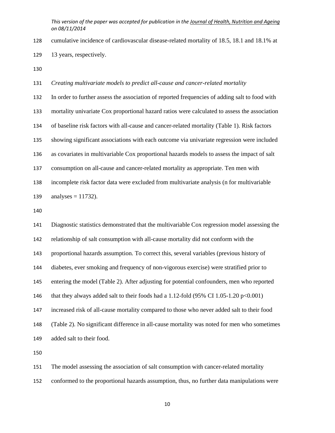cumulative incidence of cardiovascular disease-related mortality of 18.5, 18.1 and 18.1% at

13 years, respectively.

#### *Creating multivariate models to predict all-cause and cancer-related mortality*

In order to further assess the association of reported frequencies of adding salt to food with

mortality univariate Cox proportional hazard ratios were calculated to assess the association

of baseline risk factors with all-cause and cancer-related mortality (Table 1). Risk factors

showing significant associations with each outcome via univariate regression were included

as covariates in multivariable Cox proportional hazards models to assess the impact of salt

consumption on all-cause and cancer-related mortality as appropriate. Ten men with

incomplete risk factor data were excluded from multivariate analysis (n for multivariable

139 analyses = ).

Diagnostic statistics demonstrated that the multivariable Cox regression model assessing the relationship of salt consumption with all-cause mortality did not conform with the proportional hazards assumption. To correct this, several variables (previous history of diabetes, ever smoking and frequency of non-vigorous exercise) were stratified prior to entering the model (Table 2). After adjusting for potential confounders, men who reported 146 that they always added salt to their foods had a 1.12-fold (95% CI 1.05-1.20 p<0.001) increased risk of all-cause mortality compared to those who never added salt to their food (Table 2). No significant difference in all-cause mortality was noted for men who sometimes added salt to their food.

The model assessing the association of salt consumption with cancer-related mortality

conformed to the proportional hazards assumption, thus, no further data manipulations were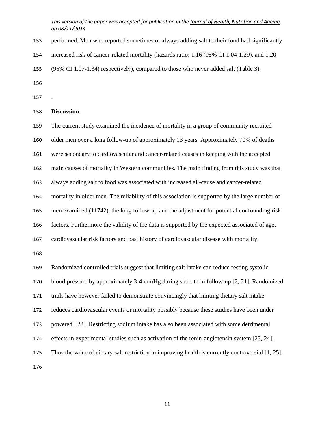- performed. Men who reported sometimes or always adding salt to their food had significantly
- increased risk of cancer-related mortality (hazards ratio: 1.16 (95% CI 1.04-1.29), and 1.20
- (95% CI 1.07-1.34) respectively), compared to those who never added salt (Table 3).
- 
- .

#### **Discussion**

The current study examined the incidence of mortality in a group of community recruited

- older men over a long follow-up of approximately 13 years. Approximately 70% of deaths
- were secondary to cardiovascular and cancer-related causes in keeping with the accepted
- main causes of mortality in Western communities. The main finding from this study was that

always adding salt to food was associated with increased all-cause and cancer-related

mortality in older men. The reliability of this association is supported by the large number of

men examined (11742), the long follow-up and the adjustment for potential confounding risk

factors. Furthermore the validity of the data is supported by the expected associated of age,

cardiovascular risk factors and past history of cardiovascular disease with mortality.

Randomized controlled trials suggest that limiting salt intake can reduce resting systolic blood pressure by approximately 3-4 mmHg during short term follow-up [2, 21]. Randomized trials have however failed to demonstrate convincingly that limiting dietary salt intake reduces cardiovascular events or mortality possibly because these studies have been under powered [22]. Restricting sodium intake has also been associated with some detrimental effects in experimental studies such as activation of the renin-angiotensin system [23, 24]. Thus the value of dietary salt restriction in improving health is currently controversial [1, 25].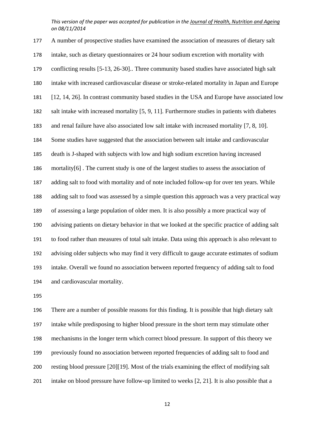A number of prospective studies have examined the association of measures of dietary salt intake, such as dietary questionnaires or 24 hour sodium excretion with mortality with conflicting results [5-13, 26-30].. Three community based studies have associated high salt intake with increased cardiovascular disease or stroke-related mortality in Japan and Europe [12, 14, 26]. In contrast community based studies in the USA and Europe have associated low salt intake with increased mortality [5, 9, 11]. Furthermore studies in patients with diabetes and renal failure have also associated low salt intake with increased mortality [7, 8, 10]. Some studies have suggested that the association between salt intake and cardiovascular death is J-shaped with subjects with low and high sodium excretion having increased mortality[6] . The current study is one of the largest studies to assess the association of adding salt to food with mortality and of note included follow-up for over ten years. While adding salt to food was assessed by a simple question this approach was a very practical way of assessing a large population of older men. It is also possibly a more practical way of advising patients on dietary behavior in that we looked at the specific practice of adding salt to food rather than measures of total salt intake. Data using this approach is also relevant to advising older subjects who may find it very difficult to gauge accurate estimates of sodium intake. Overall we found no association between reported frequency of adding salt to food and cardiovascular mortality.

There are a number of possible reasons for this finding. It is possible that high dietary salt intake while predisposing to higher blood pressure in the short term may stimulate other mechanisms in the longer term which correct blood pressure. In support of this theory we previously found no association between reported frequencies of adding salt to food and resting blood pressure [20][19]. Most of the trials examining the effect of modifying salt intake on blood pressure have follow-up limited to weeks [2, 21]. It is also possible that a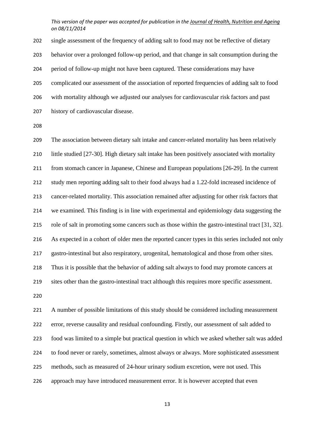single assessment of the frequency of adding salt to food may not be reflective of dietary behavior over a prolonged follow-up period, and that change in salt consumption during the period of follow-up might not have been captured. These considerations may have complicated our assessment of the association of reported frequencies of adding salt to food with mortality although we adjusted our analyses for cardiovascular risk factors and past history of cardiovascular disease.

The association between dietary salt intake and cancer-related mortality has been relatively little studied [27-30]. High dietary salt intake has been positively associated with mortality from stomach cancer in Japanese, Chinese and European populations [26-29]. In the current study men reporting adding salt to their food always had a 1.22-fold increased incidence of cancer-related mortality. This association remained after adjusting for other risk factors that we examined. This finding is in line with experimental and epidemiology data suggesting the role of salt in promoting some cancers such as those within the gastro-intestinal tract [31, 32]. As expected in a cohort of older men the reported cancer types in this series included not only gastro-intestinal but also respiratory, urogenital, hematological and those from other sites. Thus it is possible that the behavior of adding salt always to food may promote cancers at sites other than the gastro-intestinal tract although this requires more specific assessment.

A number of possible limitations of this study should be considered including measurement error, reverse causality and residual confounding. Firstly, our assessment of salt added to food was limited to a simple but practical question in which we asked whether salt was added to food never or rarely, sometimes, almost always or always. More sophisticated assessment methods, such as measured of 24-hour urinary sodium excretion, were not used. This approach may have introduced measurement error. It is however accepted that even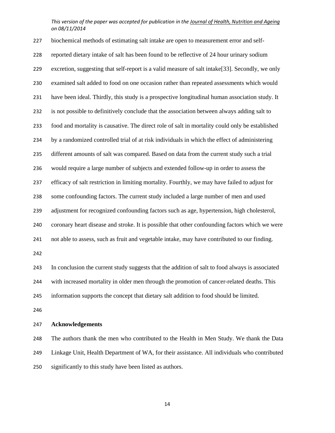biochemical methods of estimating salt intake are open to measurement error and self-reported dietary intake of salt has been found to be reflective of 24 hour urinary sodium excretion, suggesting that self-report is a valid measure of salt intake[33]. Secondly, we only examined salt added to food on one occasion rather than repeated assessments which would have been ideal. Thirdly, this study is a prospective longitudinal human association study. It is not possible to definitively conclude that the association between always adding salt to food and mortality is causative. The direct role of salt in mortality could only be established by a randomized controlled trial of at risk individuals in which the effect of administering different amounts of salt was compared. Based on data from the current study such a trial would require a large number of subjects and extended follow-up in order to assess the efficacy of salt restriction in limiting mortality. Fourthly, we may have failed to adjust for some confounding factors. The current study included a large number of men and used adjustment for recognized confounding factors such as age, hypertension, high cholesterol, coronary heart disease and stroke. It is possible that other confounding factors which we were not able to assess, such as fruit and vegetable intake, may have contributed to our finding. In conclusion the current study suggests that the addition of salt to food always is associated with increased mortality in older men through the promotion of cancer-related deaths. This information supports the concept that dietary salt addition to food should be limited. 

#### **Acknowledgements**

The authors thank the men who contributed to the Health in Men Study. We thank the Data Linkage Unit, Health Department of WA, for their assistance. All individuals who contributed significantly to this study have been listed as authors.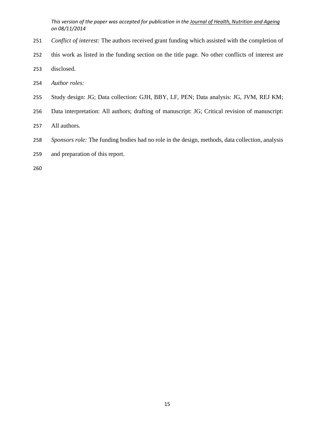- *Conflict of interest:* The authors received grant funding which assisted with the completion of
- this work as listed in the funding section on the title page. No other conflicts of interest are
- disclosed.
- *Author roles:*
- Study design: JG; Data collection: GJH, BBY, LF, PEN; Data analysis: JG, JVM, REJ KM;
- Data interpretation: All authors; drafting of manuscript: JG; Critical revision of manuscript:
- All authors.
- *Sponsors role:* The funding bodies had no role in the design, methods, data collection, analysis
- and preparation of this report.
-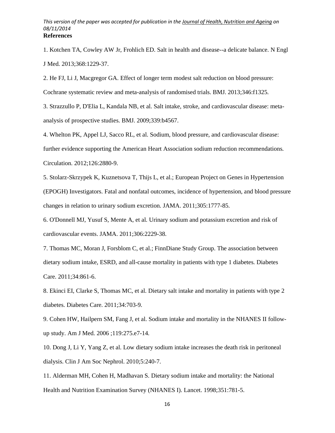1. Kotchen TA, Cowley AW Jr, Frohlich ED. Salt in health and disease--a delicate balance. N Engl J Med. 2013;368:1229-37.

2. He FJ, Li J, Macgregor GA. Effect of longer term modest salt reduction on blood pressure:

Cochrane systematic review and meta-analysis of randomised trials. BMJ. 2013;346:f1325.

3. Strazzullo P, D'Elia L, Kandala NB, et al. Salt intake, stroke, and cardiovascular disease: metaanalysis of prospective studies. BMJ. 2009;339:b4567.

4. Whelton PK, Appel LJ, Sacco RL, et al. Sodium, blood pressure, and cardiovascular disease: further evidence supporting the American Heart Association sodium reduction recommendations. Circulation. 2012;126:2880-9.

5. Stolarz-Skrzypek K, Kuznetsova T, Thijs L, et al.; European Project on Genes in Hypertension (EPOGH) Investigators. Fatal and nonfatal outcomes, incidence of hypertension, and blood pressure changes in relation to urinary sodium excretion. JAMA. 2011;305:1777-85.

6. O'Donnell MJ, Yusuf S, Mente A, et al. Urinary sodium and potassium excretion and risk of cardiovascular events. JAMA. 2011;306:2229-38.

7. Thomas MC, Moran J, Forsblom C, et al.; FinnDiane Study Group. The association between dietary sodium intake, ESRD, and all-cause mortality in patients with type 1 diabetes. Diabetes Care. 2011;34:861-6.

8. Ekinci EI, Clarke S, Thomas MC, et al. Dietary salt intake and mortality in patients with type 2 diabetes. Diabetes Care. 2011;34:703-9.

9. Cohen HW, Hailpern SM, Fang J, et al. Sodium intake and mortality in the NHANES II followup study. Am J Med. 2006 ;119:275.e7-14.

10. Dong J, Li Y, Yang Z, et al. Low dietary sodium intake increases the death risk in peritoneal dialysis. Clin J Am Soc Nephrol. 2010;5:240-7.

11. Alderman MH, Cohen H, Madhavan S. Dietary sodium intake and mortality: the National Health and Nutrition Examination Survey (NHANES I). Lancet. 1998;351:781-5.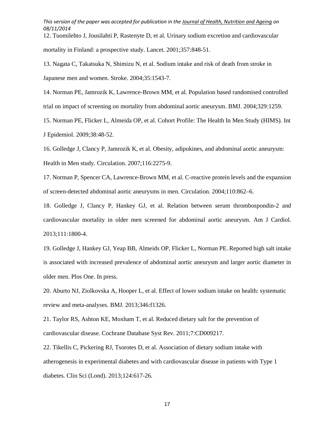12. Tuomilehto J, Jousilahti P, Rastenyte D, et al. Urinary sodium excretion and cardiovascular mortality in Finland: a prospective study. Lancet. 2001;357:848-51.

13. Nagata C, Takatsuka N, Shimizu N, et al. Sodium intake and risk of death from stroke in Japanese men and women. Stroke. 2004;35:1543-7.

14. Norman PE, Jamrozik K, Lawrence-Brown MM, et al. Population based randomised controlled trial on impact of screening on mortality from abdominal aortic aneurysm. BMJ. 2004;329:1259.

15. Norman PE, Flicker L, Almeida OP, et al. Cohort Profile: The Health In Men Study (HIMS). Int J Epidemiol. 2009;38:48-52.

16. Golledge J, Clancy P, Jamrozik K, et al. Obesity, adipokines, and abdominal aortic aneurysm: Health in Men study. Circulation. 2007;116:2275-9.

17. Norman P, Spencer CA, Lawrence-Brown MM, et al. C-reactive protein levels and the expansion of screen-detected abdominal aortic aneurysms in men. Circulation. 2004;110:862–6.

18. Golledge J, Clancy P, Hankey GJ, et al. Relation between serum thrombospondin-2 and cardiovascular mortality in older men screened for abdominal aortic aneurysm. Am J Cardiol. 2013;111:1800-4.

19. Golledge J, Hankey GJ, Yeap BB, Almeids OP, Flicker L, Norman PE. Reported high salt intake is associated with increased prevalence of abdominal aortic aneurysm and larger aortic diameter in older men. Plos One. In press.

20. Aburto NJ, Ziolkovska A, Hooper L, et al. Effect of lower sodium intake on health: systematic review and meta-analyses. BMJ. 2013;346:f1326.

21. Taylor RS, Ashton KE, Moxham T, et al. Reduced dietary salt for the prevention of cardiovascular disease. Cochrane Database Syst Rev. 2011;7:CD009217.

22. Tikellis C, Pickering RJ, Tsorotes D, et al. Association of dietary sodium intake with atherogenesis in experimental diabetes and with cardiovascular disease in patients with Type 1 diabetes. Clin Sci (Lond). 2013;124:617-26.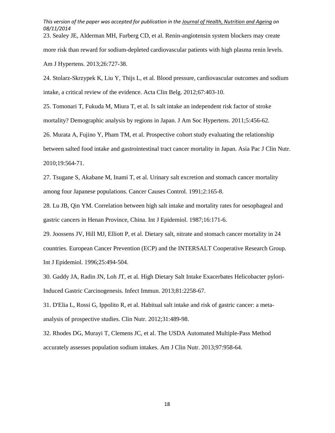23. Sealey JE, Alderman MH, Furberg CD, et al. Renin-angiotensin system blockers may create

more risk than reward for sodium-depleted cardiovascular patients with high plasma renin levels.

Am J Hypertens. 2013;26:727-38.

24. Stolarz-Skrzypek K, Liu Y, Thijs L, et al. Blood pressure, cardiovascular outcomes and sodium intake, a critical review of the evidence. Acta Clin Belg. 2012;67:403-10.

25. Tomonari T, Fukuda M, Miura T, et al. Is salt intake an independent risk factor of stroke

mortality? Demographic analysis by regions in Japan. J Am Soc Hypertens. 2011;5:456-62.

26. Murata A, Fujino Y, Pham TM, et al. Prospective cohort study evaluating the relationship between salted food intake and gastrointestinal tract cancer mortality in Japan. Asia Pac J Clin Nutr. 2010;19:564-71.

27. Tsugane S, Akabane M, Inami T, et al. Urinary salt excretion and stomach cancer mortality among four Japanese populations. Cancer Causes Control. 1991;2:165-8.

28. Lu JB, Qin YM. Correlation between high salt intake and mortality rates for oesophageal and gastric cancers in Henan Province, China. Int J Epidemiol. 1987;16:171-6.

29. Joossens JV, Hill MJ, Elliott P, et al. Dietary salt, nitrate and stomach cancer mortality in 24 countries. European Cancer Prevention (ECP) and the INTERSALT Cooperative Research Group. Int J Epidemiol. 1996;25:494-504.

30. Gaddy JA, Radin JN, Loh JT, et al. High Dietary Salt Intake Exacerbates Helicobacter pylori-Induced Gastric Carcinogenesis. Infect Immun. 2013;81:2258-67.

31. D'Elia L, Rossi G, Ippolito R, et al. Habitual salt intake and risk of gastric cancer: a metaanalysis of prospective studies. Clin Nutr. 2012;31:489-98.

32. Rhodes DG, Murayi T, Clemens JC, et al. The USDA Automated Multiple-Pass Method accurately assesses population sodium intakes. Am J Clin Nutr. 2013;97:958-64.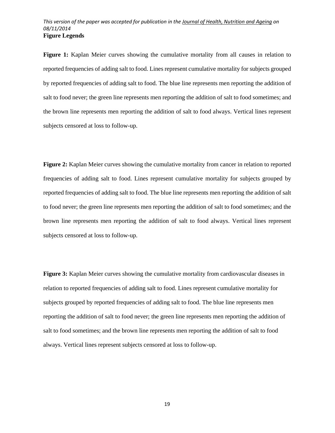**Figure 1:** Kaplan Meier curves showing the cumulative mortality from all causes in relation to reported frequencies of adding salt to food. Lines represent cumulative mortality for subjects grouped by reported frequencies of adding salt to food. The blue line represents men reporting the addition of salt to food never; the green line represents men reporting the addition of salt to food sometimes; and the brown line represents men reporting the addition of salt to food always. Vertical lines represent subjects censored at loss to follow-up.

**Figure 2:** Kaplan Meier curves showing the cumulative mortality from cancer in relation to reported frequencies of adding salt to food. Lines represent cumulative mortality for subjects grouped by reported frequencies of adding salt to food. The blue line represents men reporting the addition of salt to food never; the green line represents men reporting the addition of salt to food sometimes; and the brown line represents men reporting the addition of salt to food always. Vertical lines represent subjects censored at loss to follow-up.

**Figure 3:** Kaplan Meier curves showing the cumulative mortality from cardiovascular diseases in relation to reported frequencies of adding salt to food. Lines represent cumulative mortality for subjects grouped by reported frequencies of adding salt to food. The blue line represents men reporting the addition of salt to food never; the green line represents men reporting the addition of salt to food sometimes; and the brown line represents men reporting the addition of salt to food always. Vertical lines represent subjects censored at loss to follow-up.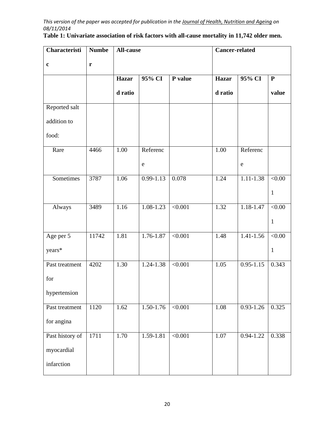| Characteristi   | <b>Numbe</b> | All-cause    |               |                | <b>Cancer-related</b> |               |               |
|-----------------|--------------|--------------|---------------|----------------|-----------------------|---------------|---------------|
| $\mathbf c$     | $\mathbf{r}$ |              |               |                |                       |               |               |
|                 |              | <b>Hazar</b> | 95% CI        | P value        | <b>Hazar</b>          | 95% CI        | ${\bf P}$     |
|                 |              | d ratio      |               |                | d ratio               |               | value         |
| Reported salt   |              |              |               |                |                       |               |               |
| addition to     |              |              |               |                |                       |               |               |
| food:           |              |              |               |                |                       |               |               |
| Rare            | 4466         | 1.00         | Referenc      |                | 1.00                  | Referenc      |               |
|                 |              |              | ${\bf e}$     |                |                       | ${\bf e}$     |               |
| Sometimes       | 3787         | 1.06         | $0.99 - 1.13$ | 0.078          | 1.24                  | $1.11 - 1.38$ | < 0.00        |
|                 |              |              |               |                |                       |               | $\mathbf{1}$  |
| Always          | 3489         | 1.16         | $1.08 - 1.23$ | $\sqrt{0.001}$ | 1.32                  | $1.18 - 1.47$ | $\sqrt{0.00}$ |
|                 |              |              |               |                |                       |               | $\mathbf{1}$  |
| Age per 5       | 11742        | 1.81         | $1.76 - 1.87$ | < 0.001        | 1.48                  | $1.41 - 1.56$ | < 0.00        |
| years*          |              |              |               |                |                       |               | $\mathbf{1}$  |
| Past treatment  | 4202         | 1.30         | 1.24-1.38     | < 0.001        | 1.05                  | $0.95 - 1.15$ | 0.343         |
| for             |              |              |               |                |                       |               |               |
| hypertension    |              |              |               |                |                       |               |               |
| Past treatment  | 1120         | 1.62         | $1.50 - 1.76$ | $\sqrt{0.001}$ | 1.08                  | $0.93 - 1.26$ | 0.325         |
| for angina      |              |              |               |                |                       |               |               |
| Past history of | 1711         | 1.70         | $1.59 - 1.81$ | $\sqrt{0.001}$ | 1.07                  | $0.94 - 1.22$ | 0.338         |
| myocardial      |              |              |               |                |                       |               |               |
| infarction      |              |              |               |                |                       |               |               |

|  | Table 1: Univariate association of risk factors with all-cause mortality in 11,742 older men. |  |  |  |  |  |
|--|-----------------------------------------------------------------------------------------------|--|--|--|--|--|
|  |                                                                                               |  |  |  |  |  |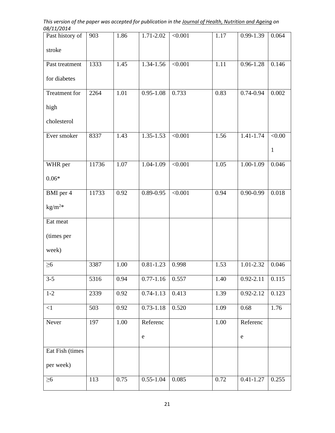*This version of the paper was accepted for publication in the Journal of Health, Nutrition and Ageing on 08/11/2014* 

| Past history of | 903   | 1.86 | 1.71-2.02     | < 0.001        | 1.17 | $0.99 - 1.39$ | 0.064        |
|-----------------|-------|------|---------------|----------------|------|---------------|--------------|
| stroke          |       |      |               |                |      |               |              |
| Past treatment  | 1333  | 1.45 | 1.34-1.56     | < 0.001        | 1.11 | $0.96 - 1.28$ | 0.146        |
| for diabetes    |       |      |               |                |      |               |              |
| Treatment for   | 2264  | 1.01 | $0.95 - 1.08$ | 0.733          | 0.83 | $0.74 - 0.94$ | 0.002        |
| high            |       |      |               |                |      |               |              |
| cholesterol     |       |      |               |                |      |               |              |
| Ever smoker     | 8337  | 1.43 | $1.35 - 1.53$ | < 0.001        | 1.56 | 1.41-1.74     | < 0.00       |
|                 |       |      |               |                |      |               | $\mathbf{1}$ |
| WHR per         | 11736 | 1.07 | 1.04-1.09     | < 0.001        | 1.05 | 1.00-1.09     | 0.046        |
| $0.06*$         |       |      |               |                |      |               |              |
| BMI per 4       | 11733 | 0.92 | $0.89 - 0.95$ | $\sqrt{0.001}$ | 0.94 | $0.90 - 0.99$ | 0.018        |
| $kg/m^{2*}$     |       |      |               |                |      |               |              |
| Eat meat        |       |      |               |                |      |               |              |
| (times per      |       |      |               |                |      |               |              |
| week)           |       |      |               |                |      |               |              |
| $\geq 6$        | 3387  | 1.00 | $0.81 - 1.23$ | 0.998          | 1.53 | 1.01-2.32     | 0.046        |
| $3 - 5$         | 5316  | 0.94 | $0.77 - 1.16$ | 0.557          | 1.40 | $0.92 - 2.11$ | 0.115        |
| $1 - 2$         | 2339  | 0.92 | $0.74 - 1.13$ | 0.413          | 1.39 | $0.92 - 2.12$ | 0.123        |
| $\leq$ 1        | 503   | 0.92 | $0.73 - 1.18$ | 0.520          | 1.09 | 0.68          | 1.76         |
| Never           | 197   | 1.00 | Referenc      |                | 1.00 | Referenc      |              |
|                 |       |      | ${\bf e}$     |                |      | $\mathbf e$   |              |
| Eat Fish (times |       |      |               |                |      |               |              |
| per week)       |       |      |               |                |      |               |              |
| $\geq 6$        | 113   | 0.75 | $0.55 - 1.04$ | 0.085          | 0.72 | $0.41 - 1.27$ | 0.255        |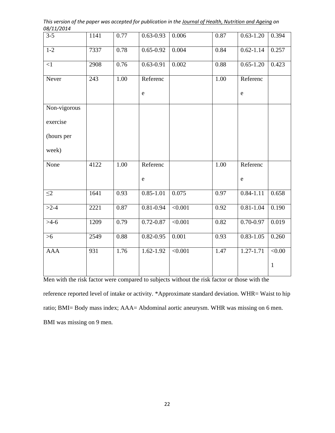| 50/11/201    |                  |      |               |                |      |               |               |
|--------------|------------------|------|---------------|----------------|------|---------------|---------------|
| $3 - 5$      | 1141             | 0.77 | $0.63 - 0.93$ | 0.006          | 0.87 | $0.63 - 1.20$ | 0.394         |
| $1-2$        | 7337             | 0.78 | $0.65 - 0.92$ | 0.004          | 0.84 | $0.62 - 1.14$ | 0.257         |
| $\leq$ 1     | 2908             | 0.76 | $0.63 - 0.91$ | 0.002          | 0.88 | $0.65 - 1.20$ | 0.423         |
| Never        | $\overline{243}$ | 1.00 | Referenc      |                | 1.00 | Referenc      |               |
|              |                  |      | $\mathbf e$   |                |      | $\rm e$       |               |
| Non-vigorous |                  |      |               |                |      |               |               |
| exercise     |                  |      |               |                |      |               |               |
| (hours per   |                  |      |               |                |      |               |               |
| week)        |                  |      |               |                |      |               |               |
| None         | 4122             | 1.00 | Referenc      |                | 1.00 | Referenc      |               |
|              |                  |      | ${\bf e}$     |                |      | $\mathbf{e}$  |               |
| $\leq$ 2     | 1641             | 0.93 | $0.85 - 1.01$ | 0.075          | 0.97 | $0.84 - 1.11$ | 0.658         |
| $>2-4$       | 2221             | 0.87 | $0.81 - 0.94$ | < 0.001        | 0.92 | $0.81 - 1.04$ | 0.190         |
| $>4-6$       | 1209             | 0.79 | $0.72 - 0.87$ | < 0.001        | 0.82 | $0.70 - 0.97$ | 0.019         |
| $>6$         | 2549             | 0.88 | $0.82 - 0.95$ | 0.001          | 0.93 | $0.83 - 1.05$ | 0.260         |
| <b>AAA</b>   | $\overline{931}$ | 1.76 | $1.62 - 1.92$ | $\sqrt{0.001}$ | 1.47 | $1.27 - 1.71$ | $\sqrt{0.00}$ |
|              |                  |      |               |                |      |               | $\mathbf{1}$  |
|              |                  |      |               |                |      |               |               |

*This version of the paper was accepted for publication in the Journal of Health, Nutrition and Ageing on 08/11/2014* 

Men with the risk factor were compared to subjects without the risk factor or those with the reference reported level of intake or activity. \*Approximate standard deviation. WHR= Waist to hip ratio; BMI= Body mass index; AAA= Abdominal aortic aneurysm. WHR was missing on 6 men. BMI was missing on 9 men.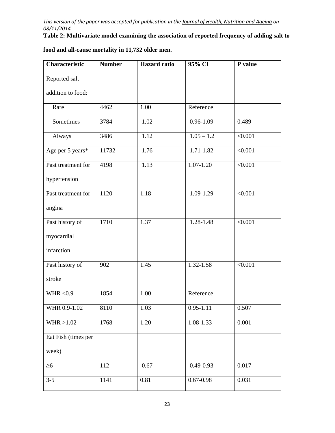**Table 2: Multivariate model examining the association of reported frequency of adding salt to** 

| <b>Characteristic</b> | <b>Number</b> | <b>Hazard</b> ratio | 95% CI                  | P value        |
|-----------------------|---------------|---------------------|-------------------------|----------------|
| Reported salt         |               |                     |                         |                |
| addition to food:     |               |                     |                         |                |
| Rare                  | 4462          | 1.00                | Reference               |                |
| Sometimes             | 3784          | 1.02                | $0.96 - 1.09$           | 0.489          |
| Always                | 3486          | 1.12                | $\overline{1.05 - 1.2}$ | $\sqrt{0.001}$ |
| Age per 5 years*      | 11732         | 1.76                | 1.71-1.82               | < 0.001        |
| Past treatment for    | 4198          | 1.13                | $1.07 - 1.20$           | < 0.001        |
| hypertension          |               |                     |                         |                |
| Past treatment for    | 1120          | 1.18                | $1.09 - 1.29$           | < 0.001        |
| angina                |               |                     |                         |                |
| Past history of       | 1710          | 1.37                | 1.28-1.48               | < 0.001        |
| myocardial            |               |                     |                         |                |
| infarction            |               |                     |                         |                |
| Past history of       | 902           | 1.45                | 1.32-1.58               | < 0.001        |
| stroke                |               |                     |                         |                |
| WHR < $0.9$           | 1854          | 1.00                | Reference               |                |
| WHR 0.9-1.02          | 8110          | 1.03                | $0.95 - 1.11$           | 0.507          |
| WHR > 1.02            | 1768          | 1.20                | 1.08-1.33               | 0.001          |
| Eat Fish (times per   |               |                     |                         |                |
| week)                 |               |                     |                         |                |
| $\geq 6$              | 112           | 0.67                | $0.49 - 0.93$           | 0.017          |
| $3 - 5$               | 1141          | $\overline{0.81}$   | $0.67 - 0.98$           | 0.031          |

# **food and all-cause mortality in 11,732 older men.**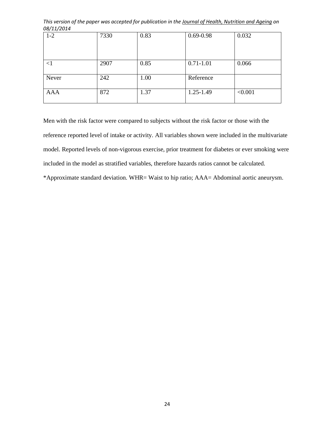*This version of the paper was accepted for publication in the Journal of Health, Nutrition and Ageing on 08/11/2014* 

| $1 - 2$    | 7330 | 0.83 | $0.69 - 0.98$ | 0.032   |
|------------|------|------|---------------|---------|
|            |      |      |               |         |
|            |      |      |               |         |
|            |      |      |               |         |
| <1         | 2907 | 0.85 | $0.71 - 1.01$ | 0.066   |
|            |      |      |               |         |
| Never      | 242  | 1.00 | Reference     |         |
|            |      |      |               |         |
| <b>AAA</b> | 872  | 1.37 | $1.25 - 1.49$ | < 0.001 |
|            |      |      |               |         |

Men with the risk factor were compared to subjects without the risk factor or those with the reference reported level of intake or activity. All variables shown were included in the multivariate model. Reported levels of non-vigorous exercise, prior treatment for diabetes or ever smoking were included in the model as stratified variables, therefore hazards ratios cannot be calculated.

\*Approximate standard deviation. WHR= Waist to hip ratio; AAA= Abdominal aortic aneurysm.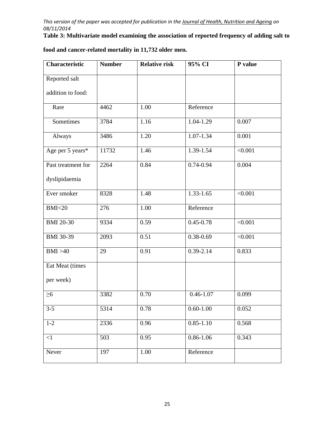**Table 3: Multivariate model examining the association of reported frequency of adding salt to** 

| Characteristic     | <b>Number</b> | <b>Relative risk</b> | 95% CI        | P value |
|--------------------|---------------|----------------------|---------------|---------|
| Reported salt      |               |                      |               |         |
| addition to food:  |               |                      |               |         |
| Rare               | 4462          | 1.00                 | Reference     |         |
| Sometimes          | 3784          | 1.16                 | 1.04-1.29     | 0.007   |
| Always             | 3486          | 1.20                 | $1.07 - 1.34$ | 0.001   |
| Age per 5 years*   | 11732         | 1.46                 | 1.39-1.54     | < 0.001 |
| Past treatment for | 2264          | 0.84                 | $0.74 - 0.94$ | 0.004   |
| dyslipidaemia      |               |                      |               |         |
| Ever smoker        | 8328          | 1.48                 | 1.33-1.65     | < 0.001 |
| BMI < 20           | 276           | 1.00                 | Reference     |         |
| <b>BMI 20-30</b>   | 9334          | 0.59                 | $0.45 - 0.78$ | < 0.001 |
| <b>BMI</b> 30-39   | 2093          | 0.51                 | $0.38 - 0.69$ | < 0.001 |
| BMI > 40           | 29            | 0.91                 | $0.39 - 2.14$ | 0.833   |
| Eat Meat (times    |               |                      |               |         |
| per week)          |               |                      |               |         |
| $\geq 6$           | 3382          | 0.70                 | $0.46 - 1.07$ | 0.099   |
| $3 - 5$            | 5314          | 0.78                 | $0.60 - 1.00$ | 0.052   |
| $1 - 2$            | 2336          | 0.96                 | $0.85 - 1.10$ | 0.568   |
| $<1\,$             | 503           | 0.95                 | $0.86 - 1.06$ | 0.343   |
| Never              | 197           | 1.00                 | Reference     |         |

# **food and cancer-related mortality in 11,732 older men.**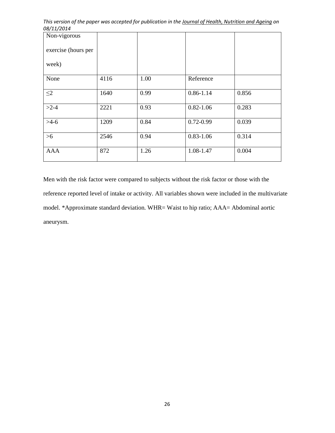| Non-vigorous        |      |      |               |       |
|---------------------|------|------|---------------|-------|
| exercise (hours per |      |      |               |       |
| week)               |      |      |               |       |
| None                | 4116 | 1.00 | Reference     |       |
| $\leq$ 2            | 1640 | 0.99 | $0.86 - 1.14$ | 0.856 |
| $>2-4$              | 2221 | 0.93 | $0.82 - 1.06$ | 0.283 |
| $>4-6$              | 1209 | 0.84 | $0.72 - 0.99$ | 0.039 |
| $>6$                | 2546 | 0.94 | $0.83 - 1.06$ | 0.314 |
| <b>AAA</b>          | 872  | 1.26 | 1.08-1.47     | 0.004 |

Men with the risk factor were compared to subjects without the risk factor or those with the reference reported level of intake or activity. All variables shown were included in the multivariate model. \*Approximate standard deviation. WHR= Waist to hip ratio; AAA= Abdominal aortic aneurysm.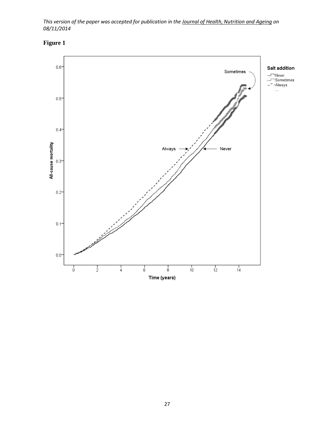

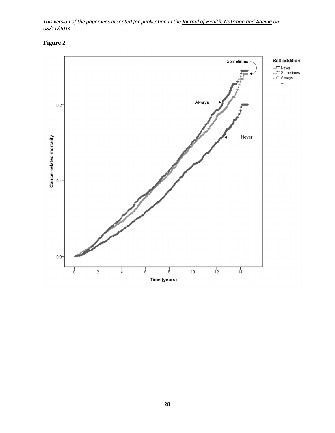